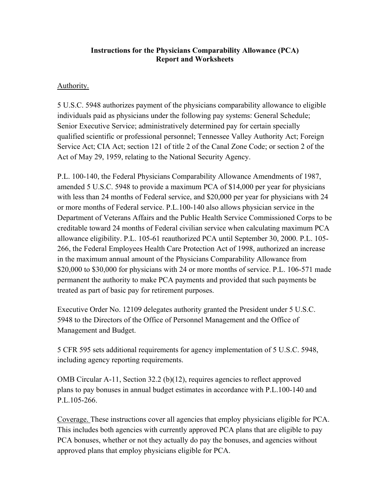#### **Instructions for the Physicians Comparability Allowance (PCA) Report and Worksheets**

#### Authority.

5 U.S.C. 5948 authorizes payment of the physicians comparability allowance to eligible individuals paid as physicians under the following pay systems: General Schedule; Senior Executive Service; administratively determined pay for certain specially qualified scientific or professional personnel; Tennessee Valley Authority Act; Foreign Service Act; CIA Act; section 121 of title 2 of the Canal Zone Code; or section 2 of the Act of May 29, 1959, relating to the National Security Agency.

P.L. 100-140, the Federal Physicians Comparability Allowance Amendments of 1987, amended 5 U.S.C. 5948 to provide a maximum PCA of \$14,000 per year for physicians with less than 24 months of Federal service, and \$20,000 per year for physicians with 24 or more months of Federal service. P.L.100-140 also allows physician service in the Department of Veterans Affairs and the Public Health Service Commissioned Corps to be creditable toward 24 months of Federal civilian service when calculating maximum PCA allowance eligibility. P.L. 105-61 reauthorized PCA until September 30, 2000. P.L. 105- 266, the Federal Employees Health Care Protection Act of 1998, authorized an increase in the maximum annual amount of the Physicians Comparability Allowance from \$20,000 to \$30,000 for physicians with 24 or more months of service. P.L. 106-571 made permanent the authority to make PCA payments and provided that such payments be treated as part of basic pay for retirement purposes.

Executive Order No. 12109 delegates authority granted the President under 5 U.S.C. 5948 to the Directors of the Office of Personnel Management and the Office of Management and Budget.

5 CFR 595 sets additional requirements for agency implementation of 5 U.S.C. 5948, including agency reporting requirements.

OMB Circular A-11, Section 32.2 (b)(12), requires agencies to reflect approved plans to pay bonuses in annual budget estimates in accordance with P.L.100-140 and P.L.105-266.

Coverage. These instructions cover all agencies that employ physicians eligible for PCA. This includes both agencies with currently approved PCA plans that are eligible to pay PCA bonuses, whether or not they actually do pay the bonuses, and agencies without approved plans that employ physicians eligible for PCA.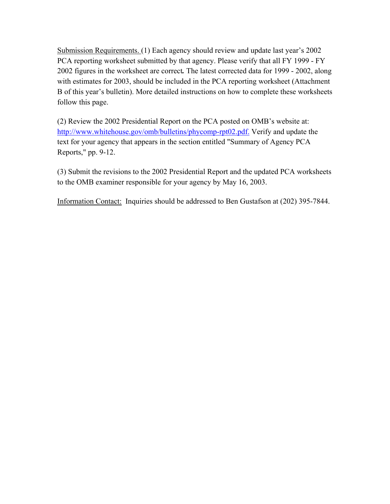Submission Requirements. (1) Each agency should review and update last year's 2002 PCA reporting worksheet submitted by that agency. Please verify that all FY 1999 - FY 2002 figures in the worksheet are correct*.* The latest corrected data for 1999 - 2002, along with estimates for 2003, should be included in the PCA reporting worksheet (Attachment B of this year's bulletin). More detailed instructions on how to complete these worksheets follow this page.

(2) Review the 2002 Presidential Report on the PCA posted on OMB's website at: <http://www.whitehouse.gov/omb/bulletins/phycomp-rpt02.pdf.>Verify and update the text for your agency that appears in the section entitled "Summary of Agency PCA Reports," pp. 9-12.

(3) Submit the revisions to the 2002 Presidential Report and the updated PCA worksheets to the OMB examiner responsible for your agency by May 16, 2003.

Information Contact: Inquiries should be addressed to Ben Gustafson at (202) 395-7844.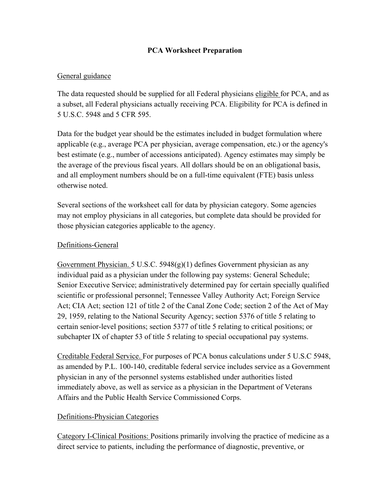## **PCA Worksheet Preparation**

### General guidance

The data requested should be supplied for all Federal physicians eligible for PCA, and as a subset, all Federal physicians actually receiving PCA. Eligibility for PCA is defined in 5 U.S.C. 5948 and 5 CFR 595.

Data for the budget year should be the estimates included in budget formulation where applicable (e.g., average PCA per physician, average compensation, etc.) or the agency's best estimate (e.g., number of accessions anticipated). Agency estimates may simply be the average of the previous fiscal years. All dollars should be on an obligational basis, and all employment numbers should be on a full-time equivalent (FTE) basis unless otherwise noted.

Several sections of the worksheet call for data by physician category. Some agencies may not employ physicians in all categories, but complete data should be provided for those physician categories applicable to the agency.

#### Definitions-General

Government Physician. 5 U.S.C. 5948(g)(1) defines Government physician as any individual paid as a physician under the following pay systems: General Schedule; Senior Executive Service; administratively determined pay for certain specially qualified scientific or professional personnel; Tennessee Valley Authority Act; Foreign Service Act; CIA Act; section 121 of title 2 of the Canal Zone Code; section 2 of the Act of May 29, 1959, relating to the National Security Agency; section 5376 of title 5 relating to certain senior-level positions; section 5377 of title 5 relating to critical positions; or subchapter IX of chapter 53 of title 5 relating to special occupational pay systems.

Creditable Federal Service. For purposes of PCA bonus calculations under 5 U.S.C 5948, as amended by P.L. 100-140, creditable federal service includes service as a Government physician in any of the personnel systems established under authorities listed immediately above, as well as service as a physician in the Department of Veterans Affairs and the Public Health Service Commissioned Corps.

# Definitions-Physician Categories

Category I-Clinical Positions: Positions primarily involving the practice of medicine as a direct service to patients, including the performance of diagnostic, preventive, or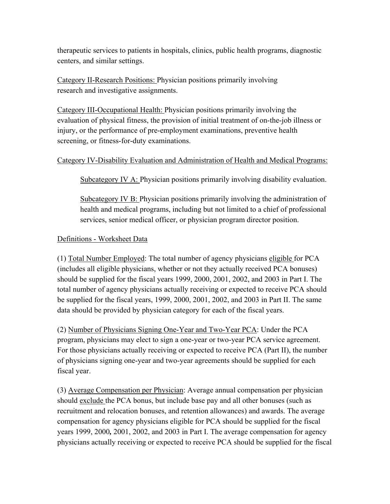therapeutic services to patients in hospitals, clinics, public health programs, diagnostic centers, and similar settings.

Category II-Research Positions: Physician positions primarily involving research and investigative assignments.

Category III-Occupational Health: Physician positions primarily involving the evaluation of physical fitness, the provision of initial treatment of on-the-job illness or injury, or the performance of pre-employment examinations, preventive health screening, or fitness-for-duty examinations.

## Category IV-Disability Evaluation and Administration of Health and Medical Programs:

Subcategory IV A: Physician positions primarily involving disability evaluation.

Subcategory IV B: Physician positions primarily involving the administration of health and medical programs, including but not limited to a chief of professional services, senior medical officer, or physician program director position.

# Definitions - Worksheet Data

(1) Total Number Employed: The total number of agency physicians eligible for PCA (includes all eligible physicians, whether or not they actually received PCA bonuses) should be supplied for the fiscal years 1999, 2000, 2001, 2002, and 2003 in Part I. The total number of agency physicians actually receiving or expected to receive PCA should be supplied for the fiscal years, 1999, 2000, 2001, 2002, and 2003 in Part II. The same data should be provided by physician category for each of the fiscal years.

(2) Number of Physicians Signing One-Year and Two-Year PCA: Under the PCA program, physicians may elect to sign a one-year or two-year PCA service agreement. For those physicians actually receiving or expected to receive PCA (Part II), the number of physicians signing one-year and two-year agreements should be supplied for each fiscal year.

(3) Average Compensation per Physician: Average annual compensation per physician should exclude the PCA bonus, but include base pay and all other bonuses (such as recruitment and relocation bonuses, and retention allowances) and awards. The average compensation for agency physicians eligible for PCA should be supplied for the fiscal years 1999, 2000*,* 2001, 2002, and 2003 in Part I. The average compensation for agency physicians actually receiving or expected to receive PCA should be supplied for the fiscal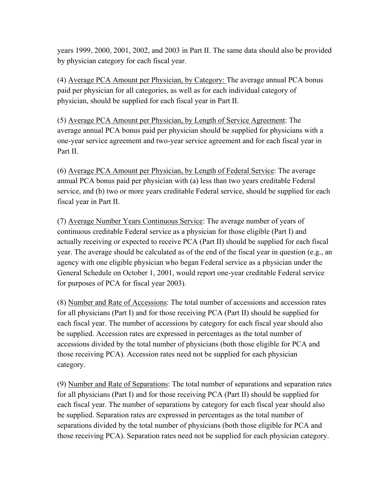years 1999, 2000, 2001, 2002, and 2003 in Part II. The same data should also be provided by physician category for each fiscal year.

(4) Average PCA Amount per Physician, by Category: The average annual PCA bonus paid per physician for all categories, as well as for each individual category of physician, should be supplied for each fiscal year in Part II.

(5) Average PCA Amount per Physician, by Length of Service Agreement: The average annual PCA bonus paid per physician should be supplied for physicians with a one-year service agreement and two-year service agreement and for each fiscal year in Part II.

(6) Average PCA Amount per Physician, by Length of Federal Service: The average annual PCA bonus paid per physician with (a) less than two years creditable Federal service, and (b) two or more years creditable Federal service, should be supplied for each fiscal year in Part II.

(7) Average Number Years Continuous Service: The average number of years of continuous creditable Federal service as a physician for those eligible (Part I) and actually receiving or expected to receive PCA (Part II) should be supplied for each fiscal year. The average should be calculated as of the end of the fiscal year in question (e.g., an agency with one eligible physician who began Federal service as a physician under the General Schedule on October 1, 2001, would report one-year creditable Federal service for purposes of PCA for fiscal year 2003).

(8) Number and Rate of Accessions: The total number of accessions and accession rates for all physicians (Part I) and for those receiving PCA (Part II) should be supplied for each fiscal year. The number of accessions by category for each fiscal year should also be supplied. Accession rates are expressed in percentages as the total number of accessions divided by the total number of physicians (both those eligible for PCA and those receiving PCA). Accession rates need not be supplied for each physician category.

(9) Number and Rate of Separations: The total number of separations and separation rates for all physicians (Part I) and for those receiving PCA (Part II) should be supplied for each fiscal year. The number of separations by category for each fiscal year should also be supplied. Separation rates are expressed in percentages as the total number of separations divided by the total number of physicians (both those eligible for PCA and those receiving PCA). Separation rates need not be supplied for each physician category.